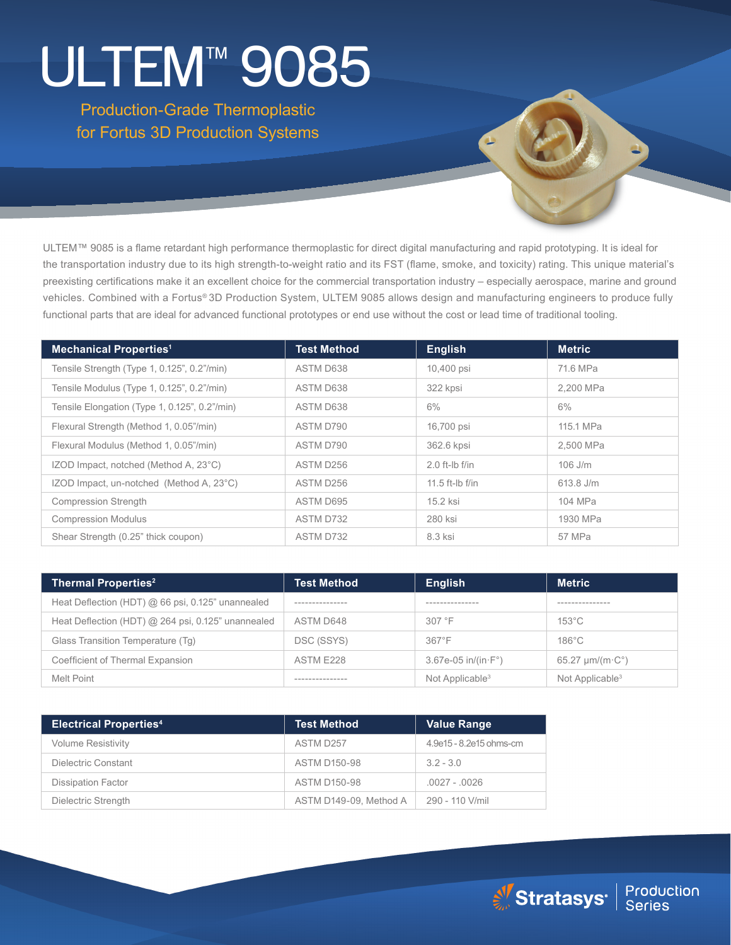# ULTEM™ 9085

Production-Grade Thermoplastic for Fortus 3D Production Systems

ULTEM™ 9085 is a flame retardant high performance thermoplastic for direct digital manufacturing and rapid prototyping. It is ideal for the transportation industry due to its high strength-to-weight ratio and its FST (flame, smoke, and toxicity) rating. This unique material's preexisting certifications make it an excellent choice for the commercial transportation industry – especially aerospace, marine and ground vehicles. Combined with a Fortus® 3D Production System, ULTEM 9085 allows design and manufacturing engineers to produce fully functional parts that are ideal for advanced functional prototypes or end use without the cost or lead time of traditional tooling.

| <b>Mechanical Properties<sup>1</sup></b>      | <b>Test Method</b> | <b>English</b>    | <b>Metric</b> |
|-----------------------------------------------|--------------------|-------------------|---------------|
| Tensile Strength (Type 1, 0.125", 0.2"/min)   | ASTM D638          | 10,400 psi        | 71.6 MPa      |
| Tensile Modulus (Type 1, 0.125", 0.2"/min)    | ASTM D638          | 322 kpsi          | 2.200 MPa     |
| Tensile Elongation (Type 1, 0.125", 0.2"/min) | ASTM D638          | $6\%$             | $6\%$         |
| Flexural Strength (Method 1, 0.05"/min)       | ASTM D790          | 16,700 psi        | 115.1 MPa     |
| Flexural Modulus (Method 1, 0.05"/min)        | ASTM D790          | 362.6 kpsi        | 2.500 MPa     |
| IZOD Impact, notched (Method A, 23°C)         | ASTM D256          | $2.0$ ft-lb f/in  | $106$ J/m     |
| IZOD Impact, un-notched (Method A, 23°C)      | ASTM D256          | $11.5$ ft-lb f/in | 613.8 J/m     |
| Compression Strength                          | ASTM D695          | 15.2 ksi          | 104 MPa       |
| <b>Compression Modulus</b>                    | ASTM D732          | 280 ksi           | 1930 MPa      |
| Shear Strength (0.25" thick coupon)           | ASTM D732          | 8.3 ksi           | 57 MPa        |

| <b>Thermal Properties<sup>2</sup></b>              | <b>Test Method</b> | English                       | <b>Metric</b>                     |
|----------------------------------------------------|--------------------|-------------------------------|-----------------------------------|
| Heat Deflection (HDT) @ 66 psi, 0.125" unannealed  | ----------------   | ----------------              | ----------------                  |
| Heat Deflection (HDT) @ 264 psi, 0.125" unannealed | ASTM D648          | 307 °F                        | $153^{\circ}$ C                   |
| Glass Transition Temperature (Tq)                  | DSC (SSYS)         | $367^{\circ}F$                | $186^{\circ}$ C                   |
| Coefficient of Thermal Expansion                   | ASTM E228          | $3.67e-05$ in/(in $\cdot$ F°) | $65.27 \mu m/(m \cdot C^{\circ})$ |
| Melt Point                                         | -----------------  | Not Applicable <sup>3</sup>   | Not Applicable <sup>3</sup>       |

| <b>Electrical Properties4</b> | <b>Test Method</b>     | <b>Value Range</b>      |
|-------------------------------|------------------------|-------------------------|
| <b>Volume Resistivity</b>     | ASTM D257              | 4.9e15 - 8.2e15 ohms-cm |
| Dielectric Constant           | <b>ASTM D150-98</b>    | $3.2 - 3.0$             |
| <b>Dissipation Factor</b>     | <b>ASTM D150-98</b>    | $.0027 - .0026$         |
| Dielectric Strength           | ASTM D149-09, Method A | 290 - 110 V/mil         |